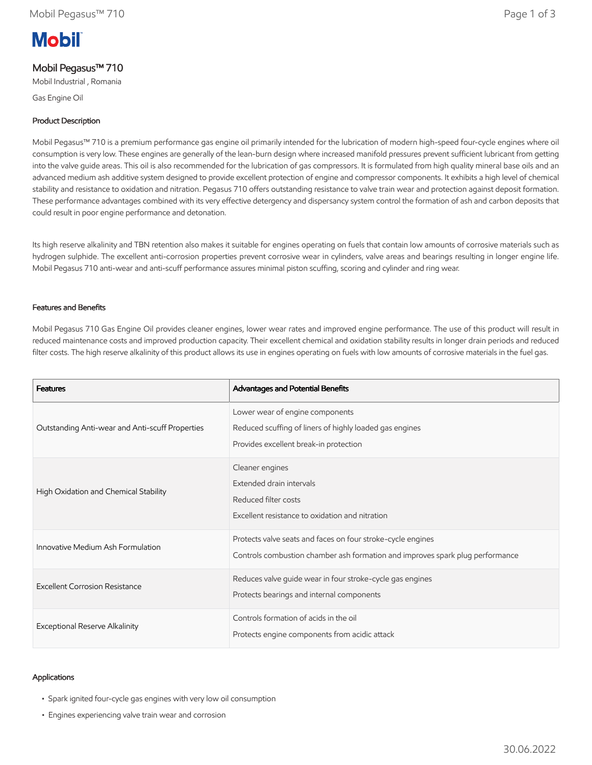# **Mobil**

# Mobil Pegasus™ 710

Mobil Industrial , Romania

Gas Engine Oil

#### Product Description

Mobil Pegasus™ 710 is a premium performance gas engine oil primarily intended for the lubrication of modern high-speed four-cycle engines where oil consumption is very low. These engines are generally of the lean-burn design where increased manifold pressures prevent sufficient lubricant from getting into the valve guide areas. This oil is also recommended for the lubrication of gas compressors. It is formulated from high quality mineral base oils and an advanced medium ash additive system designed to provide excellent protection of engine and compressor components. It exhibits a high level of chemical stability and resistance to oxidation and nitration. Pegasus 710 offers outstanding resistance to valve train wear and protection against deposit formation. These performance advantages combined with its very effective detergency and dispersancy system control the formation of ash and carbon deposits that could result in poor engine performance and detonation.

Its high reserve alkalinity and TBN retention also makes it suitable for engines operating on fuels that contain low amounts of corrosive materials such as hydrogen sulphide. The excellent anti-corrosion properties prevent corrosive wear in cylinders, valve areas and bearings resulting in longer engine life. Mobil Pegasus 710 anti-wear and anti-scuff performance assures minimal piston scuffing, scoring and cylinder and ring wear.

#### Features and Benefits

Mobil Pegasus 710 Gas Engine Oil provides cleaner engines, lower wear rates and improved engine performance. The use of this product will result in reduced maintenance costs and improved production capacity. Their excellent chemical and oxidation stability results in longer drain periods and reduced filter costs. The high reserve alkalinity of this product allows its use in engines operating on fuels with low amounts of corrosive materials in the fuel gas.

| <b>Features</b>                                 | Advantages and Potential Benefits                                                                                                            |
|-------------------------------------------------|----------------------------------------------------------------------------------------------------------------------------------------------|
| Outstanding Anti-wear and Anti-scuff Properties | Lower wear of engine components<br>Reduced scuffing of liners of highly loaded gas engines<br>Provides excellent break-in protection         |
| High Oxidation and Chemical Stability           | Cleaner engines<br>Extended drain intervals<br>Reduced filter costs<br>Excellent resistance to oxidation and nitration                       |
| Innovative Medium Ash Formulation               | Protects valve seats and faces on four stroke-cycle engines<br>Controls combustion chamber ash formation and improves spark plug performance |
| Excellent Corrosion Resistance                  | Reduces valve guide wear in four stroke-cycle gas engines<br>Protects bearings and internal components                                       |
| Exceptional Reserve Alkalinity                  | Controls formation of acids in the oil<br>Protects engine components from acidic attack                                                      |

#### Applications

- Spark ignited four-cycle gas engines with very low oil consumption
- Engines experiencing valve train wear and corrosion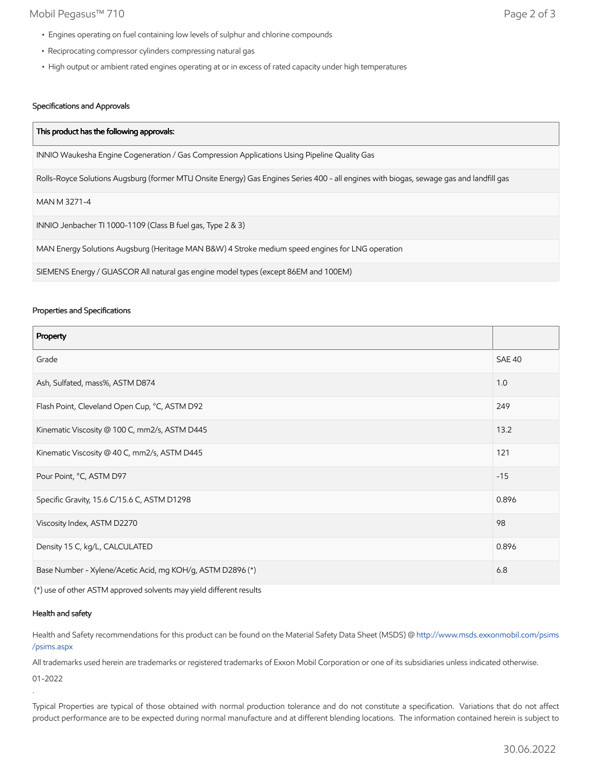### Mobil Pegasus™ 710 Page 2 of 3

- Engines operating on fuel containing low levels of sulphur and chlorine compounds
- Reciprocating compressor cylinders compressing natural gas
- High output or ambient rated engines operating at or in excess of rated capacity under high temperatures

## Specifications and Approvals

| This product has the following approvals:                                                                                               |
|-----------------------------------------------------------------------------------------------------------------------------------------|
| INNIO Waukesha Engine Cogeneration / Gas Compression Applications Using Pipeline Quality Gas                                            |
| Rolls-Royce Solutions Augsburg (former MTU Onsite Energy) Gas Engines Series 400 - all engines with biogas, sewage gas and landfill gas |
| MAN M 3271-4                                                                                                                            |
| INNIO Jenbacher TI 1000-1109 (Class B fuel gas, Type 2 & 3)                                                                             |
| MAN Energy Solutions Augsburg (Heritage MAN B&W) 4 Stroke medium speed engines for LNG operation                                        |
| SIEMENS Energy / GUASCOR All natural gas engine model types (except 86EM and 100EM)                                                     |

#### Properties and Specifications

| Property                                                   |               |
|------------------------------------------------------------|---------------|
| Grade                                                      | <b>SAE 40</b> |
| Ash, Sulfated, mass%, ASTM D874                            | 1.0           |
| Flash Point, Cleveland Open Cup, °C, ASTM D92              | 249           |
| Kinematic Viscosity @ 100 C, mm2/s, ASTM D445              | 13.2          |
| Kinematic Viscosity @ 40 C, mm2/s, ASTM D445               | 121           |
| Pour Point, °C, ASTM D97                                   | $-15$         |
| Specific Gravity, 15.6 C/15.6 C, ASTM D1298                | 0.896         |
| Viscosity Index, ASTM D2270                                | 98            |
| Density 15 C, kg/L, CALCULATED                             | 0.896         |
| Base Number - Xylene/Acetic Acid, mg KOH/g, ASTM D2896 (*) |               |

(\*) use of other ASTM approved solvents may yield different results

#### Health and safety

Health and Safety recommendations for this product can be found on the Material Safety Data Sheet (MSDS) @ [http://www.msds.exxonmobil.com/psims](http://www.msds.exxonmobil.com/psims/psims.aspx) /psims.aspx

All trademarks used herein are trademarks or registered trademarks of Exxon Mobil Corporation or one of its subsidiaries unless indicated otherwise.

01-2022

.

Typical Properties are typical of those obtained with normal production tolerance and do not constitute a specification. Variations that do not affect product performance are to be expected during normal manufacture and at different blending locations. The information contained herein is subject to